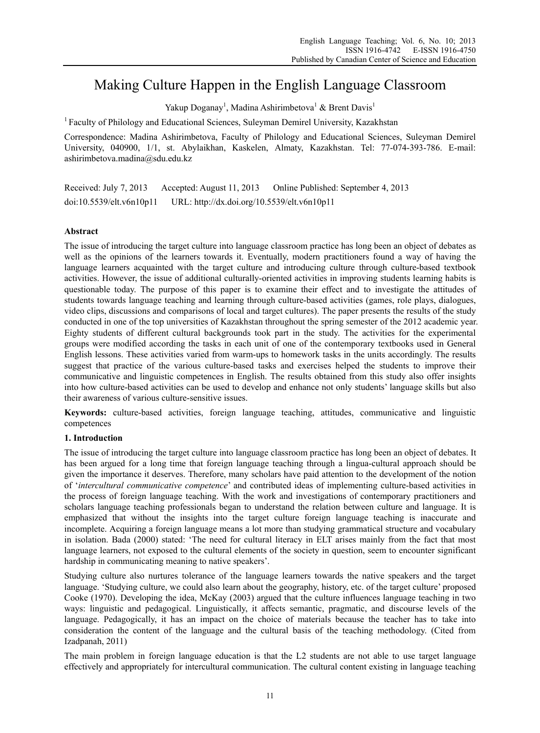# Making Culture Happen in the English Language Classroom

Yakup Doganay<sup>1</sup>, Madina Ashirimbetova<sup>1</sup> & Brent Davis<sup>1</sup>

<sup>1</sup> Faculty of Philology and Educational Sciences, Suleyman Demirel University, Kazakhstan

Correspondence: Madina Ashirimbetova, Faculty of Philology and Educational Sciences, Suleyman Demirel University, 040900, 1/1, st. Abylaikhan, Kaskelen, Almaty, Kazakhstan. Tel: 77-074-393-786. E-mail: ashirimbetova.madina@sdu.edu.kz

Received: July 7, 2013 Accepted: August 11, 2013 Online Published: September 4, 2013 doi:10.5539/elt.v6n10p11 URL: http://dx.doi.org/10.5539/elt.v6n10p11

# **Abstract**

The issue of introducing the target culture into language classroom practice has long been an object of debates as well as the opinions of the learners towards it. Eventually, modern practitioners found a way of having the language learners acquainted with the target culture and introducing culture through culture-based textbook activities. However, the issue of additional culturally-oriented activities in improving students learning habits is questionable today. The purpose of this paper is to examine their effect and to investigate the attitudes of students towards language teaching and learning through culture-based activities (games, role plays, dialogues, video clips, discussions and comparisons of local and target cultures). The paper presents the results of the study conducted in one of the top universities of Kazakhstan throughout the spring semester of the 2012 academic year. Eighty students of different cultural backgrounds took part in the study. The activities for the experimental groups were modified according the tasks in each unit of one of the contemporary textbooks used in General English lessons. These activities varied from warm-ups to homework tasks in the units accordingly. The results suggest that practice of the various culture-based tasks and exercises helped the students to improve their communicative and linguistic competences in English. The results obtained from this study also offer insights into how culture-based activities can be used to develop and enhance not only students' language skills but also their awareness of various culture-sensitive issues.

**Keywords:** culture-based activities, foreign language teaching, attitudes, communicative and linguistic competences

## **1. Introduction**

The issue of introducing the target culture into language classroom practice has long been an object of debates. It has been argued for a long time that foreign language teaching through a lingua-cultural approach should be given the importance it deserves. Therefore, many scholars have paid attention to the development of the notion of '*intercultural communicative competence*' and contributed ideas of implementing culture-based activities in the process of foreign language teaching. With the work and investigations of contemporary practitioners and scholars language teaching professionals began to understand the relation between culture and language. It is emphasized that without the insights into the target culture foreign language teaching is inaccurate and incomplete. Acquiring a foreign language means a lot more than studying grammatical structure and vocabulary in isolation. Bada (2000) stated: 'The need for cultural literacy in ELT arises mainly from the fact that most language learners, not exposed to the cultural elements of the society in question, seem to encounter significant hardship in communicating meaning to native speakers'.

Studying culture also nurtures tolerance of the language learners towards the native speakers and the target language. 'Studying culture, we could also learn about the geography, history, etc. of the target culture' proposed Cooke (1970). Developing the idea, McKay (2003) argued that the culture influences language teaching in two ways: linguistic and pedagogical. Linguistically, it affects semantic, pragmatic, and discourse levels of the language. Pedagogically, it has an impact on the choice of materials because the teacher has to take into consideration the content of the language and the cultural basis of the teaching methodology. (Cited from Izadpanah, 2011)

The main problem in foreign language education is that the L2 students are not able to use target language effectively and appropriately for intercultural communication. The cultural content existing in language teaching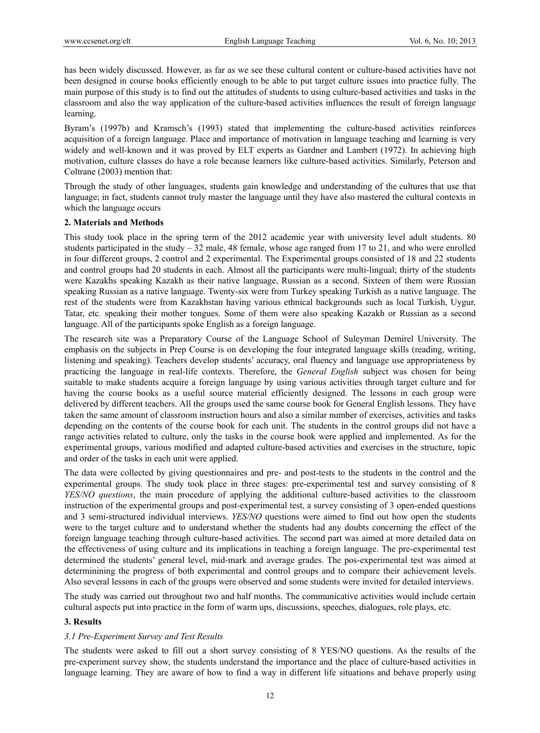has been widely discussed. However, as far as we see these cultural content or culture-based activities have not been designed in course books efficiently enough to be able to put target culture issues into practice fully. The main purpose of this study is to find out the attitudes of students to using culture-based activities and tasks in the classroom and also the way application of the culture-based activities influences the result of foreign language learning.

Byram's (1997b) and Kramsch's (1993) stated that implementing the culture-based activities reinforces acquisition of a foreign language. Place and importance of motivation in language teaching and learning is very widely and well-known and it was proved by ELT experts as Gardner and Lambert (1972). In achieving high motivation, culture classes do have a role because learners like culture-based activities. Similarly, Peterson and Coltrane (2003) mention that:

Through the study of other languages, students gain knowledge and understanding of the cultures that use that language; in fact, students cannot truly master the language until they have also mastered the cultural contexts in which the language occurs

#### **2. Materials and Methods**

This study took place in the spring term of the 2012 academic year with university level adult students. 80 students participated in the study  $-32$  male, 48 female, whose age ranged from 17 to 21, and who were enrolled in four different groups, 2 control and 2 experimental. The Experimental groups consisted of 18 and 22 students and control groups had 20 students in each. Almost all the participants were multi-lingual; thirty of the students were Kazakhs speaking Kazakh as their native language, Russian as a second. Sixteen of them were Russian speaking Russian as a native language. Twenty-six were from Turkey speaking Turkish as a native language. The rest of the students were from Kazakhstan having various ethnical backgrounds such as local Turkish, Uygur, Tatar, etc. speaking their mother tongues. Some of them were also speaking Kazakh or Russian as a second language. All of the participants spoke English as a foreign language.

The research site was a Preparatory Course of the Language School of Suleyman Demirel University. The emphasis on the subjects in Prep Course is on developing the four integrated language skills (reading, writing, listening and speaking). Teachers develop students' accuracy, oral fluency and language use appropriateness by practicing the language in real-life contexts. Therefore, the *General English* subject was chosen for being suitable to make students acquire a foreign language by using various activities through target culture and for having the course books as a useful source material efficiently designed. The lessons in each group were delivered by different teachers. All the groups used the same course book for General English lessons. They have taken the same amount of classroom instruction hours and also a similar number of exercises, activities and tasks depending on the contents of the course book for each unit. The students in the control groups did not have a range activities related to culture, only the tasks in the course book were applied and implemented. As for the experimental groups, various modified and adapted culture-based activities and exercises in the structure, topic and order of the tasks in each unit were applied.

The data were collected by giving questionnaires and pre- and post-tests to the students in the control and the experimental groups. The study took place in three stages: pre-experimental test and survey consisting of 8 *YES/NO questions*, the main procedure of applying the additional culture-based activities to the classroom instruction of the experimental groups and post-experimental test, a survey consisting of 3 open-ended questions and 3 semi-structured individual interviews. *YES/NO* questions were aimed to find out how open the students were to the target culture and to understand whether the students had any doubts concerning the effect of the foreign language teaching through culture-based activities. The second part was aimed at more detailed data on the effectiveness of using culture and its implications in teaching a foreign language. The pre-experimental test determined the students' general level, mid-mark and average grades. The pos-experimental test was aimed at determinining the progress of both experimental and control groups and to compare their achievement levels. Also several lessons in each of the groups were observed and some students were invited for detailed interviews.

The study was carried out throughout two and half months. The communicative activities would include certain cultural aspects put into practice in the form of warm ups, discussions, speeches, dialogues, role plays, etc.

## **3. Results**

## *3.1 Pre-Experiment Survey and Test Results*

The students were asked to fill out a short survey consisting of 8 YES/NO questions. As the results of the pre-experiment survey show, the students understand the importance and the place of culture-based activities in language learning. They are aware of how to find a way in different life situations and behave properly using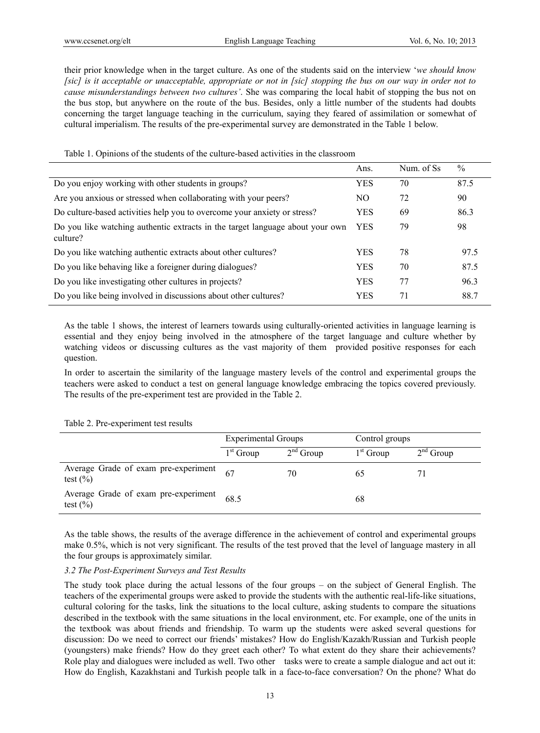their prior knowledge when in the target culture. As one of the students said on the interview '*we should know [sic] is it acceptable or unacceptable, appropriate or not in [sic] stopping the bus on our way in order not to cause misunderstandings between two cultures'*. She was comparing the local habit of stopping the bus not on the bus stop, but anywhere on the route of the bus. Besides, only a little number of the students had doubts concerning the target language teaching in the curriculum, saying they feared of assimilation or somewhat of cultural imperialism. The results of the pre-experimental survey are demonstrated in the Table 1 below.

|                                                                                           | Ans.       | Num. of Ss | $\%$ |
|-------------------------------------------------------------------------------------------|------------|------------|------|
| Do you enjoy working with other students in groups?                                       | <b>YES</b> | 70         | 87.5 |
| Are you anxious or stressed when collaborating with your peers?                           | NO.        | 72         | 90   |
| Do culture-based activities help you to overcome your anxiety or stress?                  | <b>YES</b> | 69         | 86.3 |
| Do you like watching authentic extracts in the target language about your own<br>culture? | <b>YES</b> | 79         | 98   |
| Do you like watching authentic extracts about other cultures?                             | <b>YES</b> | 78         | 97.5 |
| Do you like behaving like a foreigner during dialogues?                                   | <b>YES</b> | 70         | 87.5 |
| Do you like investigating other cultures in projects?                                     | <b>YES</b> | 77         | 96.3 |
| Do you like being involved in discussions about other cultures?                           | <b>YES</b> | 71         | 88.7 |

Table 1. Opinions of the students of the culture-based activities in the classroom

As the table 1 shows, the interest of learners towards using culturally-oriented activities in language learning is essential and they enjoy being involved in the atmosphere of the target language and culture whether by watching videos or discussing cultures as the vast majority of them provided positive responses for each question.

In order to ascertain the similarity of the language mastery levels of the control and experimental groups the teachers were asked to conduct a test on general language knowledge embracing the topics covered previously. The results of the pre-experiment test are provided in the Table 2.

#### Table 2. Pre-experiment test results

|                                                             | <b>Experimental Groups</b> |             | Control groups |             |
|-------------------------------------------------------------|----------------------------|-------------|----------------|-------------|
|                                                             | $1st$ Group                | $2nd$ Group | $1st$ Group    | $2nd$ Group |
| Average Grade of exam pre-experiment $67$<br>test $(\% )$   |                            | 70          | 65             |             |
| Average Grade of exam pre-experiment $68.5$<br>test $(\% )$ |                            |             | 68             |             |

As the table shows, the results of the average difference in the achievement of control and experimental groups make 0.5%, which is not very significant. The results of the test proved that the level of language mastery in all the four groups is approximately similar.

# *3.2 The Post-Experiment Surveys and Test Results*

The study took place during the actual lessons of the four groups – on the subject of General English. The teachers of the experimental groups were asked to provide the students with the authentic real-life-like situations, cultural coloring for the tasks, link the situations to the local culture, asking students to compare the situations described in the textbook with the same situations in the local environment, etc. For example, one of the units in the textbook was about friends and friendship. To warm up the students were asked several questions for discussion: Do we need to correct our friends' mistakes? How do English/Kazakh/Russian and Turkish people (youngsters) make friends? How do they greet each other? To what extent do they share their achievements? Role play and dialogues were included as well. Two other tasks were to create a sample dialogue and act out it: How do English, Kazakhstani and Turkish people talk in a face-to-face conversation? On the phone? What do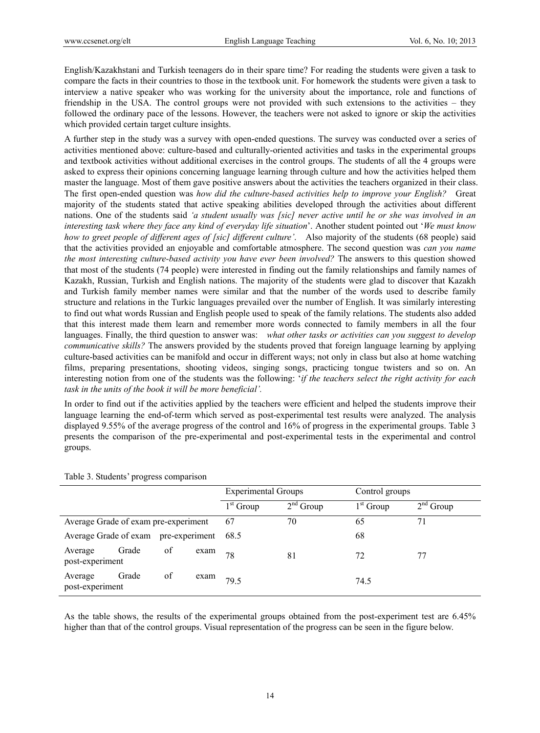English/Kazakhstani and Turkish teenagers do in their spare time? For reading the students were given a task to compare the facts in their countries to those in the textbook unit. For homework the students were given a task to interview a native speaker who was working for the university about the importance, role and functions of friendship in the USA. The control groups were not provided with such extensions to the activities – they followed the ordinary pace of the lessons. However, the teachers were not asked to ignore or skip the activities which provided certain target culture insights.

A further step in the study was a survey with open-ended questions. The survey was conducted over a series of activities mentioned above: culture-based and culturally-oriented activities and tasks in the experimental groups and textbook activities without additional exercises in the control groups. The students of all the 4 groups were asked to express their opinions concerning language learning through culture and how the activities helped them master the language. Most of them gave positive answers about the activities the teachers organized in their class. The first open-ended question was *how did the culture-based activities help to improve your English?* Great majority of the students stated that active speaking abilities developed through the activities about different nations. One of the students said *'a student usually was [sic] never active until he or she was involved in an interesting task where they face any kind of everyday life situation*'. Another student pointed out '*We must know how to greet people of different ages of [sic] different culture'*. Also majority of the students (68 people) said that the activities provided an enjoyable and comfortable atmosphere. The second question was *can you name the most interesting culture-based activity you have ever been involved?* The answers to this question showed that most of the students (74 people) were interested in finding out the family relationships and family names of Kazakh, Russian, Turkish and English nations. The majority of the students were glad to discover that Kazakh and Turkish family member names were similar and that the number of the words used to describe family structure and relations in the Turkic languages prevailed over the number of English. It was similarly interesting to find out what words Russian and English people used to speak of the family relations. The students also added that this interest made them learn and remember more words connected to family members in all the four languages. Finally, the third question to answer was: *what other tasks or activities can you suggest to develop communicative skills?* The answers provided by the students proved that foreign language learning by applying culture-based activities can be manifold and occur in different ways; not only in class but also at home watching films, preparing presentations, shooting videos, singing songs, practicing tongue twisters and so on. An interesting notion from one of the students was the following: '*if the teachers select the right activity for each task in the units of the book it will be more beneficial'.* 

In order to find out if the activities applied by the teachers were efficient and helped the students improve their language learning the end-of-term which served as post-experimental test results were analyzed. The analysis displayed 9.55% of the average progress of the control and 16% of progress in the experimental groups. Table 3 presents the comparison of the pre-experimental and post-experimental tests in the experimental and control groups.

|                                      |       |      |      | <b>Experimental Groups</b> |             | Control groups |             |
|--------------------------------------|-------|------|------|----------------------------|-------------|----------------|-------------|
|                                      |       |      |      | $1st$ Group                | $2nd$ Group | $1st$ Group    | $2nd$ Group |
| Average Grade of exam pre-experiment |       |      | 67   | 70                         | 65          | 71             |             |
| Average Grade of exam pre-experiment |       | 68.5 |      | 68                         |             |                |             |
| Average<br>post-experiment           | Grade | of   | exam | 78                         | 81          | 72             | 77          |
| Average<br>post-experiment           | Grade | of   | exam | 79.5                       |             | 74.5           |             |

Table 3. Students' progress comparison

As the table shows, the results of the experimental groups obtained from the post-experiment test are 6.45% higher than that of the control groups. Visual representation of the progress can be seen in the figure below.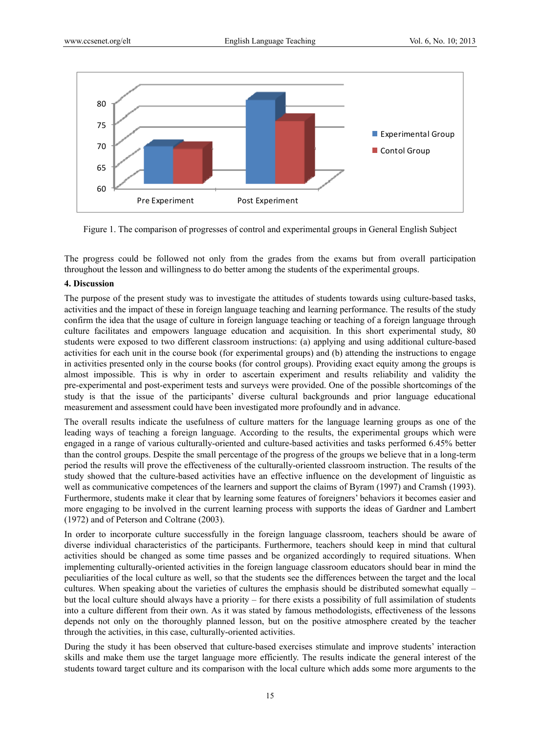

Figure 1. The comparison of progresses of control and experimental groups in General English Subject

The progress could be followed not only from the grades from the exams but from overall participation throughout the lesson and willingness to do better among the students of the experimental groups.

## **4. Discussion**

The purpose of the present study was to investigate the attitudes of students towards using culture-based tasks, activities and the impact of these in foreign language teaching and learning performance. The results of the study confirm the idea that the usage of culture in foreign language teaching or teaching of a foreign language through culture facilitates and empowers language education and acquisition. In this short experimental study, 80 students were exposed to two different classroom instructions: (a) applying and using additional culture-based activities for each unit in the course book (for experimental groups) and (b) attending the instructions to engage in activities presented only in the course books (for control groups). Providing exact equity among the groups is almost impossible. This is why in order to ascertain experiment and results reliability and validity the pre-experimental and post-experiment tests and surveys were provided. One of the possible shortcomings of the study is that the issue of the participants' diverse cultural backgrounds and prior language educational measurement and assessment could have been investigated more profoundly and in advance.

The overall results indicate the usefulness of culture matters for the language learning groups as one of the leading ways of teaching a foreign language. According to the results, the experimental groups which were engaged in a range of various culturally-oriented and culture-based activities and tasks performed 6.45% better than the control groups. Despite the small percentage of the progress of the groups we believe that in a long-term period the results will prove the effectiveness of the culturally-oriented classroom instruction. The results of the study showed that the culture-based activities have an effective influence on the development of linguistic as well as communicative competences of the learners and support the claims of Byram (1997) and Cramsh (1993). Furthermore, students make it clear that by learning some features of foreigners' behaviors it becomes easier and more engaging to be involved in the current learning process with supports the ideas of Gardner and Lambert (1972) and of Peterson and Coltrane (2003).

In order to incorporate culture successfully in the foreign language classroom, teachers should be aware of diverse individual characteristics of the participants. Furthermore, teachers should keep in mind that cultural activities should be changed as some time passes and be organized accordingly to required situations. When implementing culturally-oriented activities in the foreign language classroom educators should bear in mind the peculiarities of the local culture as well, so that the students see the differences between the target and the local cultures. When speaking about the varieties of cultures the emphasis should be distributed somewhat equally – but the local culture should always have a priority – for there exists a possibility of full assimilation of students into a culture different from their own. As it was stated by famous methodologists, effectiveness of the lessons depends not only on the thoroughly planned lesson, but on the positive atmosphere created by the teacher through the activities, in this case, culturally-oriented activities.

During the study it has been observed that culture-based exercises stimulate and improve students' interaction skills and make them use the target language more efficiently. The results indicate the general interest of the students toward target culture and its comparison with the local culture which adds some more arguments to the